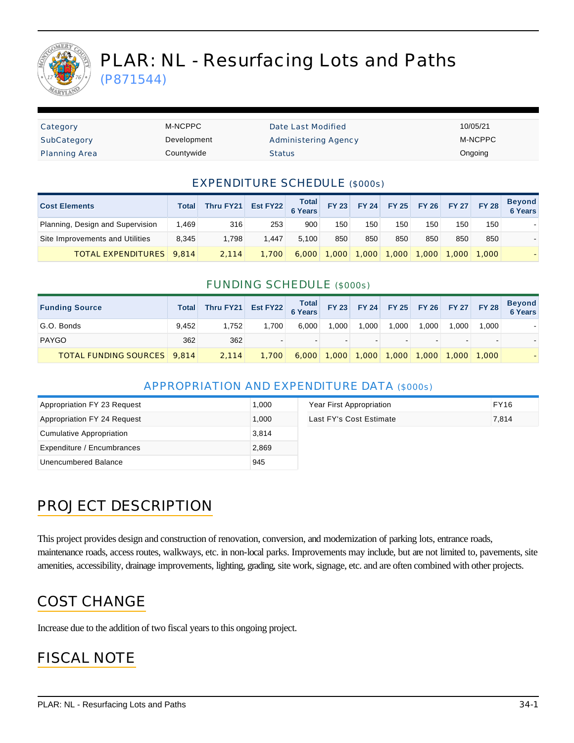

# PLAR: NL - Resurfacing Lots and Paths

(P871544)

| Category             | M-NCPPC     | Date Last Modified          | 10/05/21 |
|----------------------|-------------|-----------------------------|----------|
| SubCategory          | Development | <b>Administering Agency</b> | M-NCPPC  |
| <b>Planning Area</b> | Countywide  | <b>Status</b>               | Ongoing  |

#### EXPENDITURE SCHEDULE (\$000s)

| <b>Cost Elements</b>             | Total | Thru FY21 | Est FY22 Total |       | FY 23 FY 24 FY 25 FY 26 |       |       |       |       | FY 27 FY 28 | <b>Beyond</b><br><b>6 Years</b> |
|----------------------------------|-------|-----------|----------------|-------|-------------------------|-------|-------|-------|-------|-------------|---------------------------------|
| Planning, Design and Supervision | 1.469 | 316       | 253            | 900   | 150                     | 150   | 150   | 150   | 150   | 150         |                                 |
| Site Improvements and Utilities  | 8.345 | 1.798     | 1.447          | 5.100 | 850                     | 850   | 850   | 850   | 850   | 850         |                                 |
| <b>TOTAL EXPENDITURES</b> 9.814  |       | 2.114     | 1.700          | 6.000 | 1,000                   | 1,000 | 1,000 | 1.000 | 1,000 | 1.000       |                                 |

#### FUNDING SCHEDULE (\$000s)

| <b>Funding Source</b>              | Total | Thru FY21 | Est FY22 Total FY 23 FY 24 FY 25 FY 26 FY 27 FY 28 |       |                                 |        |       |       |                      |       | Beyond<br>6 Years |
|------------------------------------|-------|-----------|----------------------------------------------------|-------|---------------------------------|--------|-------|-------|----------------------|-------|-------------------|
| G.O. Bonds                         | 9.452 | 1.752     | 1.700                                              | 6.000 | 1.000                           | 1.000  | 1.000 | 1.000 | 1.000                | 1.000 |                   |
| <b>PAYGO</b>                       | 362   | 362       |                                                    | -     |                                 | $\sim$ |       |       |                      |       |                   |
| <b>TOTAL FUNDING SOURCES</b> 9,814 |       | 2.114     | 1.700                                              |       | $6,000$ 1,000 1,000 1,000 1,000 |        |       |       | $\mid$ 1.000   1.000 |       |                   |

#### APPROPRIATION AND EXPENDITURE DATA (\$000s)

| Appropriation FY 23 Request | 1.000 | Year First Appropriation | <b>FY16</b> |
|-----------------------------|-------|--------------------------|-------------|
| Appropriation FY 24 Request | 1.000 | Last FY's Cost Estimate  | 7,814       |
| Cumulative Appropriation    | 3,814 |                          |             |
| Expenditure / Encumbrances  | 2,869 |                          |             |
| Unencumbered Balance        | 945   |                          |             |

## PROJECT DESCRIPTION

This project provides design and construction of renovation, conversion, and modernization of parking lots, entrance roads, maintenance roads, access routes, walkways, etc. in non-local parks. Improvements may include, but are not limited to, pavements, site amenities, accessibility, drainage improvements, lighting, grading, site work, signage, etc. and are often combined with other projects.

#### COST CHANGE

Increase due to the addition of two fiscal years to this ongoing project.

## FISCAL NOTE